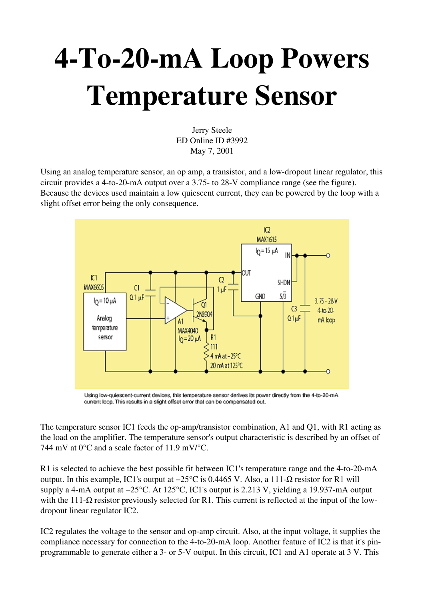## 4-To-20-mA Loop Powers Temperature Sensor

Jerry Steele ED Online ID #3992 May 7, 2001

Using an analog temperature sensor, an op amp, a transistor, and a low-dropout linear regulator, this circuit provides a 4-to-20-mA output over a 3.75- to 28-V compliance range (see the figure). Because the devices used maintain a low quiescent current, they can be powered by the loop with a slight offset error being the only consequence.



Using low-quiescent-current devices, this temperature sensor derives its power directly from the 4-to-20-mA current loop. This results in a slight offset error that can be compensated out.

The temperature sensor IC1 feeds the op-amp/transistor combination, A1 and Q1, with R1 acting as the load on the amplifier. The temperature sensor's output characteristic is described by an offset of 744 mV at  $0^{\circ}$ C and a scale factor of 11.9 mV/ $^{\circ}$ C.

R1 is selected to achieve the best possible fit between IC1's temperature range and the 4-to-20-mA output. In this example, IC1's output at  $-25^{\circ}$ C is 0.4465 V. Also, a 111- $\Omega$  resistor for R1 will supply a 4-mA output at  $-25^{\circ}$ C. At 125°C, IC1's output is 2.213 V, yielding a 19.937-mA output with the 111- $\Omega$  resistor previously selected for R1. This current is reflected at the input of the lowdropout linear regulator IC2.

IC2 regulates the voltage to the sensor and op-amp circuit. Also, at the input voltage, it supplies the compliance necessary for connection to the 4-to-20-mA loop. Another feature of IC2 is that it's pinprogrammable to generate either a 3- or 5-V output. In this circuit, IC1 and A1 operate at 3 V. This